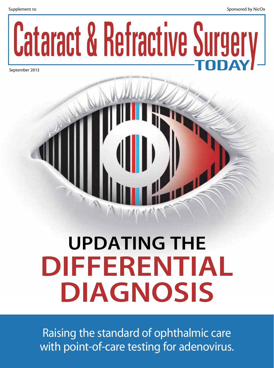

September 2013

# Updating the DIFFERENTIAL DIAGNOSIS

Raising the standard of ophthalmic care with point-of-care testing for adenovirus.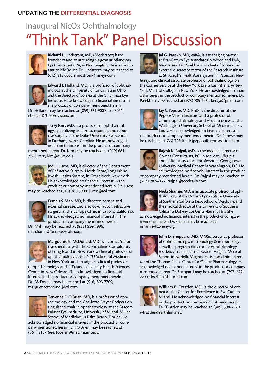# "Think Tank" Panel Discussion Inaugural NicOx Ophthalmology



Richard L. Lindstrom, MD, (Moderator) is the founder of and an attending surgeon at Minnesota Eye Consultants, PA, in Bloomington. He is a consultant to NicOx, Inc. Dr. Lindstrom may be reached at (612) 813-3600; rllindstrom@mneye.com.



Edward J. Holland, MD, is a professor of ophthalmology at the University of Cincinnati in Ohio and the director of cornea at the Cincinnati Eye Institute. He acknowledge no financial interest in the product or company mentioned herein.

Dr. Holland may be reached at (859) 331-9000, ext. 3064; eholland@holprovision.com.



Terry Kim, MD, is a professor of ophthalmology, specializing in cornea, cataract, and refractive surgery at the Duke University Eye Center in Durham, North Carolina. He acknowledged no financial interest in the product or company

mentioned herein. Dr. Kim may be reached at (919) 681- 3568; terry.kim@duke.edu.



Jodi I. Luchs, MD, is director of the Department of Refractive Surgery, North Shore/Long Island Jewish Health System, in Great Neck, New York. He acknowledged no financial interest in the product or company mentioned herein. Dr. Luchs

may be reached at (516) 785-3900; jluchs@aol.com.



Francis S. Mah, MD, is director, cornea and external disease, and also co-director, refractive surgery, at the Scripps Clinic in La Jolla, California. He acknowledged no financial interest in the product or company mentioned herein.

Dr. Mah may be reached at (858) 554-7996; mah.francis@ScrippsHealth.org.



Marguerite B. McDonald, MD, is a cornea/refractive specialist with the Ophthalmic Consultants of Long Island in New York, a clinical professor of ophthalmology at the NYU School of Medicine in New York, and an adjunct clinical professor

of ophthalmology at the Tulane University Health Sciences Center in New Orleans. She acknowledged no financial interest in the product or company mentioned herein. Dr. McDonald may be reached at (516) 593-7709; margueritemcdmd@aol.com.



Terrence P. O'Brien, MD, is a professor of ophthalmology and the Charlotte Breyer Rodgers distinguished chair in ophthalmology at the Bascom Palmer Eye Institute, University of Miami, Miller School of Medicine, in Palm Beach, Florida. He

acknowledged no financial interest in the product or company mentioned herein. Dr. O'Brien may be reached at (561) 515-1544; tobrien@med.miami.edu.



Jai G. Parekh, MD, MBA, is a managing partner at Brar-Parekh Eye Associates in Woodland Park, New Jersey. Dr. Parekh is also chief of cornea and external diseases/director of the Research Institute at St. Joseph's HealthCare System in Paterson, New

Jersey, and clinical associate professor of ophthalmology on the Cornea Service at the New York Eye & Ear Infirmary/New York Medical College in New York. He acknowledged no financial interest in the product or company mentioned herein. Dr. Parekh may be reached at (973) 785-2050; kerajai@gmail.com.



Jay S. Pepose, MD, PhD, is the director of the Pepose Vision Institute and a professor of clinical ophthalmology and visual sciences at the Washington University School of Medicine in St. Louis. He acknowledged no financial interest in

the product or company mentioned herein. Dr. Pepose may be reached at (636) 728-0111; jpepose@peposevision.com.



Rajesh K. Rajpal, MD, is the medical director of Cornea Consultants, PC, in McLean, Virginia, and a clinical associate professor at Georgetown University Medical Center in Washington, DC. He acknowledged no financial interest in the product

or company mentioned herein. Dr. Rajpal may be reached at (703) 287-4122; rrajpal@seeclearly.com.



Neda Shamie, MD, is an associate professor of ophthalmology at the Doheny Eye Institute, University of Southern California Keck School of Medicine, and the medical director at the University of Southern California Doheny Eye Center-Beverly Hills. She

acknowledged no financial interest in the product or company mentioned herein. Dr. Shamie may be reached at nshamie@doheny.org.



John D. Sheppard, MD, MMSc, serves as professor of ophthalmology, microbiology & immunology, as well as program director for ophthalmology residency training at the Eastern Virginia Medical School in Norfolk, Virginia. He is also clinical direc-

tor of the Thomas R. Lee Center for Ocular Pharmacology. He acknowledged no financial interest in the product or company mentioned herein. Dr. Sheppard may be reached at (757) 622- 2200; docshep@hotmail.com



William B. Trattler, MD, is the director of cornea at the Center for Excellence in Eye Care in Miami. He acknowledged no financial interest in the product or company mentioned herein. Dr. Trattler may be reached at (305) 598-2020;

wtrattler@earthlink.net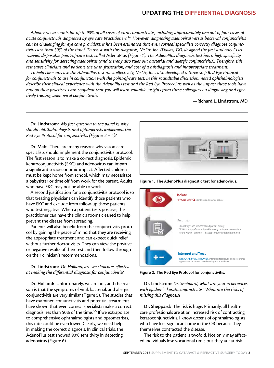# UPDATING THE DIFFERENTIAL DIAGNOSIS

*Adenovirus accounts for up to 90% of all cases of viral conjunctivitis, including approximately one out of four cases of acute conjunctivitis diagnosed by eye care practitioners.1-4 However, diagnosing adenoviral versus bacterial conjunctivitis can be challenging for eye care providers; it has been estimated that even corneal specialists correctly diagnose conjunc*tivitis less than 50% of the time.<sup>5</sup> To assist with this diagnosis, NicOx, Inc. (Dallas, TX), designed the first and only CLIA*waived, disposable point-of-care test, called* AdenoPlus *(Figure 1). The AdenoPlus diagnostic test has a high specificity and sensitivity for detecting adenovirus (and thereby also rules out bacterial and allergic conjunctivitis). Therefore, this test saves clinicians and patients the time, frustration, and cost of a misdiagnosis and inappropriate treatment.* 

*To help clinicians use the AdenoPlus test most effectively, NicOx, Inc., also developed a three-step Red Eye Protocol for conjunctivitis to use in conjunction with the point-of-care test. In this roundtable discussion, noted ophthalmologists describe their clinical experience with the AdenoPlus test and the Red Eye Protocol as well as the impact these tools have had on their practices. I am confident that you will learn valuable insights from these colleagues on diagnosing and effectively treating adenoviral conjunctivitis.* 

—Richard L. Lindstrom, MD

Dr. Lindstrom: *My first question to the panel is, why should ophthalmologists and optometrists implement the Red Eye Protocol for conjunctivitis (Figures 2 – 4)?* 

Dr. Mah: There are many reasons why vision care specialists should implement the conjunctivitis protocol. The first reason is to make a correct diagnosis. Epidemic keratoconjunctivitis (EKC) and adenovirus can impart a significant socioeconomic impact. Affected children must be kept home from school, which may necessitate a babysitter or time off from work for the parent. Adults who have EKC may not be able to work.

A second justification for a conjunctivitis protocol is so that treating physicians can identify those patients who have EKC and exclude from follow-up those patients who test negative. When a patient tests positive, the practitioner can have the clinic's rooms cleaned to help prevent the disease from spreading.

Patients will also benefit from the conjunctivitis protocol by gaining the peace of mind that they are receiving the appropriate treatment and can expect quick relief without further doctor visits. They can view the positive or negative results of their test and then follow through on their clinician's recommendations.

#### Dr. Lindstrom: *Dr. Holland, are we clinicians effective at making the differential diagnosis for conjunctivitis?*

Dr. Holland: Unfortunately, we are not, and the reason is that the symptoms of viral, bacterial, and allergic conjunctivitis are very similar (Figure 5). The studies that have examined conjunctivitis and potential treatments have shown that even corneal specialists make a correct diagnosis less than 50% of the time.<sup>3-5</sup> If we extrapolate to comprehensive ophthalmologists and optometrists, this rate could be even lower. Clearly, we need help in making the correct diagnosis. In clinical trials, the AdenoPlus test showed 90% sensitivity in detecting adenovirus (Figure 6).



Figure 1. The AdenoPlus diagnostic test for adenovirus.



Figure 2. The Red Eye Protocol for conjunctivitis.

Dr. Lindstrom: *Dr. Sheppard, what are your experiences with epidemic keratoconjunctivitis? What are the risks of missing this diagnosis?* 

Dr. Sheppard: The risk is huge. Primarily, all healthcare professionals are at an increased risk of contracting keratoconjunctivitis. I know dozens of ophthalmologists who have lost significant time in the OR because they themselves contracted the disease.

The risk to the patient is twofold. Not only may affected individuals lose vocational time, but they are at risk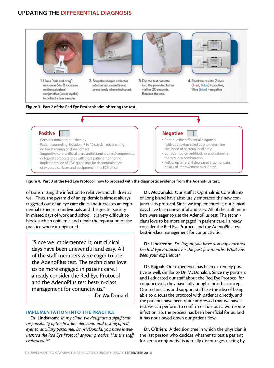





Figure 4. Part 3 of the Red Eye Protocol: how to proceed with the diagnostic evidence from the AdenoPlus test.

of transmitting the infection to relatives and children as well. Thus, the pyramid of an epidemic is almost always triggered out of an eye care clinic, and it creates an exponential expense to individuals and the greater society in missed days of work and school. It is very difficult to block such an epidemic and repair the reputation of the practice where it originated.

"Since we implemented it, our clinical days have been uneventful and easy. All of the staff members were eager to use the AdenoPlus test. The technicians love to be more engaged in patient care. I already consider the Red Eye Protocol and the AdenoPlus test best-in-class management for conunctivitis." —Dr. McDonald

#### IMPLEMENTATION INTO THE PRACTICE

Dr. Lindstrom: *In my clinic, we designate a significant responsibility of the first-line detection and testing of red eyes to ancillary personnel. Dr. McDonald, you have implemented the Red Eye Protocol at your practice. Has the staff embraced it?*

Dr. McDonald: Our staff at Ophthalmic Consultants of Long Island have absolutely embraced the new conjunctivitis protocol. Since we implemented it, our clinical days have been uneventful and easy. All of the staff members were eager to use the AdenoPlus test. The technicians love to be more engaged in patient care. I already consider the Red Eye Protocol and the AdenoPlus test best-in-class management for conunctivitis.

Dr. Lindstrom: *Dr. Rajpal, you have also implemented the Red Eye Protocol over the past few months. What has been your experience?*

Dr. Rajpal: Our experience has been extremely positive as well, similar to Dr. McDonald's. Since my partners and I educated our staff about the Red Eye Protocol for conjunctivitis, they have fully bought into the concept. Our technicians and support staff like the idea of being able to discuss the protocol with patients directly, and the patients have been quite impressed that we have a test we can perform to confirm or rule out a worrisome infection. So, the process has been beneficial for us, and it has not slowed down our patient flow.

Dr. O'Brien: A decision tree in which the physician is the last person who decides whether to test a patient for keratoconjunctivitis actually discourages testing by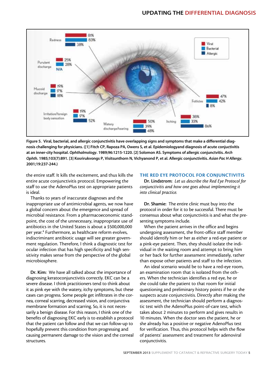

Figure 5. Viral, bacterial, and allergic conjunctivitis have overlapping signs and symptoms that make a differential diagnosis challenging for physicians. ([1] Fitch CP, Rapoza PA, Owens S, et al. Epidemiologyand diagnosis of acute conjuctivitis at an inner-city hospital. *Ophthalmology*. 1989;96:1215-1220. [2] Solomon AS. Symptoms of allergic conjunctvitis. *Arch Ophth*. 1985;103(7):891. [3] Kosrirukvongs P, Visitsunthorn N, Vichyanond P, et al. Allergic conjunctivitis. *Asian Pac H Allergy*. 2001;19:237-244.)

the entire staff. It kills the excitement, and thus kills the entire acute conjunctivitis protocol. Empowering the staff to use the AdenoPlus test on appropriate patients is ideal.

Thanks to years of inaccurate diagnoses and the inappropriate use of antimicrobial agents, we now have a global concern about the emergence and spread of microbial resistance. From a pharmacoeconomic standpoint, the cost of the unnecessary, inappropriate use of antibiotics in the United States is about a \$500,000,000 per year.<sup>4</sup> Furthermore, as healthcare reform evolves, indiscriminant antibiotic usage will see greater government regulation. Therefore, I think a diagnostic test for ocular infection that has high specificity and high sensitivity makes sense from the perspective of the global microbiosphere.

Dr. Kim: We have all talked about the importance of diagnosing keratoconjunctivitis correctly. EKC can be a severe disease. I think practitioners tend to think about it as pink eye with the watery, itchy symptoms, but these cases can progress. Some people get infiltrates in the cornea, corneal scarring, decreased vision, and conjunctiva membrane formation and scarring. So, it is not necessarily a benign disease. For this reason, I think one of the benefits of diagnosing EKC early is to establish a protocol that the patient can follow and that we can follow-up to hopefully prevent this condition from progressing and causing permanent damage to the vision and the corneal structures.

#### THE RED EYE PROTOCOL FOR CONJUNCTIVITIS

Dr. Lindstrom: *Let us describe the Red Eye Protocol for conjunctivitis and how one goes about implementing it into clinical practice.* 

Dr. Shamie: The entire clinic must buy into the protocol in order for it to be successful. There must be consensus about what conjunctivitis is and what the presenting symptoms include.

When the patient arrives in the office and begins undergoing assessment, the front-office staff member should identify him or her as either a red-eye patient or a pink-eye patient. Then, they should isolate the individual in the waiting room and attempt to bring him or her back for further assessment immediately, rather than expose other patients and staff to the infection.

An ideal scenario would be to have a red-eye room, an examination room that is isolated from the others. When the technician identifies a red eye, he or she could take the patient to that room for initial questioning and preliminary history points if he or she suspects acute conjunctivitis. Directly after making the assessment, the technician should perform a diagnostic test with the AdenoPlus point-of-care test, which takes about 2 minutes to perform and gives results in 10 minutes. When the doctor sees the patient, he or she already has a positive or negative AdenoPlus test for verification. Thus, this protocol helps with the flow of patients' assessment and treatment for adenoviral conjunctivitis.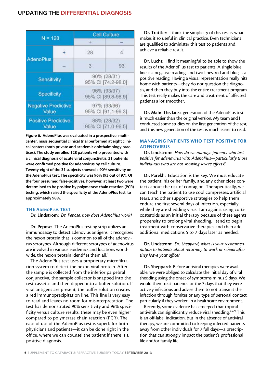| $N = 128$                           |  | <b>Cell Culture</b>               |    |
|-------------------------------------|--|-----------------------------------|----|
|                                     |  |                                   |    |
| <b>AdenoPlus</b>                    |  | 28                                | 4  |
|                                     |  | 3                                 | 93 |
| <b>Sensitivity</b>                  |  | 90% (28/31)<br>95% CI [74.2-98.0] |    |
| <b>Specificity</b>                  |  | 96% (93/97)<br>95% CI [89.8-98.9] |    |
| <b>Negative Predictive</b><br>Value |  | 97% (93/96)<br>95% CI [91.1-99.3] |    |
| <b>Positive Predictive</b><br>Value |  | 88% (28/32)<br>95% CI [71.0-96.5] |    |

Figure 6. AdenoPlus was evaluated in a prospective, multicenter, mass sequential clinical trial performed at eight clinical centers (both private and academic ophthalmology practices). The study enrolled 128 patients who presented with a clinical diagnosis of acute viral conjunctivitis; 31 patients were confirmed positive for adenovirus by cell culture. Twenty-eight of the 31 subjects showed a 90% sensitivity on the AdenoPlus test. The specificity was 96% (93 out of 97). Of the four presumed false-positives, however, at least two were determined to be positive by polymerase chain reaction (PCR) testing, which raised the specificity of the AdenoPlus test to approximately 98%.

#### THE AdenoPlus TEST

Dr. Lindstrom: *Dr. Pepose, how does AdenoPlus work?* 

Dr. Pepose: The AdenoPlus testing strip utilizes an immunoassay to detect adenovius antigens. It recognizes the hexon protein that is common to all of the adenovirus serotypes. Although different serotypes of adenovirus are involved in various epidemics and locations worldwide, the hexon protein identifies them all.<sup>6</sup>

The AdenoPlus test uses a proprietary microfiltration system to detect the hexon viral protein. After the sample is collected from the inferior palpebral conjunctiva, the sample collector is snapped into the test cassette and then dipped into a buffer solution. If viral antigens are present, the buffer solution creates a red immunoprecipitation line. This line is very easy to read and leaves no room for misinterpretation. The test has demonstrated 90% sensitivity and 96% specificity versus culture results; these may be even higher compared to polymerase chain reaction (PCR). The ease of use of the AdenoPlus test is superb for both physicians and patients—it can be done right in the office, where we can counsel the patient if there is a positive diagnosis.

Dr. Trattler: I think the simplicity of this test is what makes it so useful in clinical practice. Even technicians are qualified to administer this test to patients and achieve a reliable result.

Dr. Luchs: I find it meaningful to be able to show the results of the AdenoPlus test to patients. A single blue line is a negative reading, and two lines, red and blue, is a positive reading. Having a visual representation really hits home with patients—they do not question the diagnosis, and then they buy into the entire treatment program. This test really makes the care and treatment of affected patients a lot smoother.

Dr. Mah: This latest generation of the AdenoPlus test is much easier than the original version. My team and I conducted some studies on the first generation of the test, and this new generation of the test is much easier to read.

#### MANAGING PATIENTS WHO TEST POSITIVE FOR ADENOVIRUS

Dr. Lindstrom: *How do we manage patients who test positive for adenovirus with AdenoPlus—particularly those individuals who are not showing severe effects?*

Dr. Parekh: Education is the key. We must educate the patient, his or her family, and any other close contacts about the risk of contagion. Therapeutically, we can teach the patient to use cool compresses, artificial tears, and other supportive strategies to help them endure the first several days of infection, especially while they are shedding virus. I am against using corticosteroids as an initial therapy because of these agents' propensity to prolong viral shedding. I tend to begin treatment with conservative therapies and then add additional medications 5 to 7 days later as needed.

Dr. Lindstrom: *Dr. Sheppard, what is your recommendation to patients about returning to work or school after they leave your office?*

Dr. Sheppard: Before antiviral therapies were available, we were obliged to calculate the initial day of viral shedding using the onset of symptoms minus 5 days. We would then treat patients for the 7 days that they were actively infectious and advise them to not transmit the infection through fomites or any type of personal contact, particularly if they worked in a healthcare environment.

Recently, some evidence has emerged that topical antivirals can significantly reduce viral shedding.<sup>2,7-9</sup> This is an off-label indication, but in the absence of antiviral therapy, we are committed to keeping infected patients away from other individuals for 7 full days—a prescription that can strongly impact the patient's professional life and/or family life.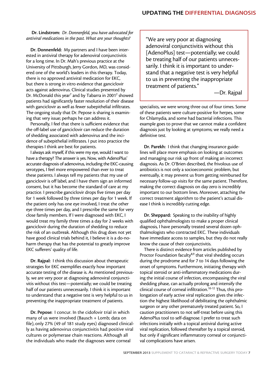Dr. Lindstrom: *Dr. Donnenfeld, you have advocated for antiviral medications in the past. What are your thoughts?* 

Dr. Donnenfeld: My partners and I have been interested in antiviral therapy for adenoviral conjunctivitis for a long time. In Dr. Mah's previous practice at the University of Pittsburgh, Jerry Gordon, MD, was considered one of the world's leaders in this therapy. Today, there is no approved antiviral medication for EKC, but there is strong in vitro evidence that ganciclovir acts against adenovirus. Clinical studies presented by Dr. McDonald this year<sup>7</sup> and by Tabarra in 2001<sup>2</sup> showed patients had significantly faster resolution of their disease with ganciclovir as well as fewer subepithelial infiltrates. The ongoing study that Dr. Pepose is sharing is examining that very issue; perhaps he can address it.

Personally, I feel that there is sufficient evidence that the off-label use of ganciclovir can reduce the duration of shedding associated with adenovirus and the incidence of subepithelial infiltrates. I put into practice the therapies I think are best for patients.

I always ask myself, if this were my eye, would I want to have a therapy? The answer is yes. Now, with AdenoPlus' accurate diagnosis of adenovirus, including the EKC-causing serotypes, I feel more empowered than ever to treat these patients. I always tell my patients that my use of ganciclovir is off label, and I have them sign an informed consent, but it has become the standard of care at my practice. I prescribe ganciclovir drops five times per day for 1 week followed by three times per day for 1 week. If the patient only has one eye involved, I treat the other eye three times per day, and I prescribe the same for very close family members. If I were diagnosed with EKC, I would treat my family three times a day for 2 weeks with ganciclovir during the duration of shedding to reduce the risk of an outbreak. Although this drug does not yet have good clinical trials behind it, I believe it is a do-noharm therapy that has the potential to greatly improve EKC sufferers' quality of life.

Dr. Rajpal: I think this discussion about therapeutic strategies for EKC exemplifies exactly how important accurate testing of the disease is. As mentioned previously, we are very poor at diagnosing adenoviral conjunctivitis without this test—potentially; we could be treating half of our patients unnecessarily. I think it is important to understand that a negative test is very helpful to us in preventing the inappropriate treatment of patients.

Dr. Pepose: I concur. In the cidofovir trial in which many of us were involved (Bausch + Lomb; data on file), only 27% (49 of 181 study eyes) diagnosed clinically as having adenovirus conjunctivitis had positive viral cultures or polymerase chain reactions. Although all the individuals who made the diagnoses were corneal

"We are very poor at diagnosing adenoviral conjunctivitis without this [AdenoPlus] test—potentially; we could be treating half of our patients unnecessarily. I think it is important to understand that a negative test is very helpful to us in preventing the inappropriate treatment of patients."

—Dr. Rajpal

specialists, we were wrong three out of four times. Some of these patients were culture-positive for herpes, some for Chlamydia, and some had bacterial infections. This example goes to prove that we cannot make a confident diagnosis just by looking at symptoms; we really need a definitive test.

Dr. Parekh: I think that changing insurance guidelines will place more emphasis on looking at outcomes and managing our risk up front of making an incorrect diagnosis. As Dr. O'Brien described, the frivolous use of antibiotics is not only a socioeconomic problem, but eventually, it may prevent us from getting reimbursed for necessary follow-up visits for the same patient. Therefore, making the correct diagnosis on day zero is incredibly important to our bottom lines. Moreover, attaching the correct treatment algorithm to the patient's actual disease I think is incredibly cutting edge.

Dr. Sheppard: Speaking to the inability of highly qualified ophthalmologists to make a proper clinical diagnosis, I have personally treated several dozen ophthalmologists who contracted EKC. These individuals have immediate access to samples, but they do not really know the cause of their conjunctivitis.

There is distinct evidence from articles published by Proctor Foundation faculty<sup>8,9</sup> that viral shedding occurs during the prodrome and for 7 to 14 days following the onset of symptoms. Furthermore, initiating therapy with topical steroid or anti-inflammatory medications during the initial course of infection, encompassing the viral shedding phase, can actually prolong and intensify the clinical course of corneal infiltration.<sup>10-12</sup> Thus, this prolongation of early active viral replication gives the infection the highest likelihood of debilitating the ophthalmic surgeon or any other prematurely treated patient. So, I caution practitioners to not self-treat before using this AdenoPlus tool to self-diagnose. I prefer to treat such infections initially with a topical antiviral during active viral replication, followed thereafter by a topical steroid, but only if significant inflammatory corneal or conjunctival complications have arisen.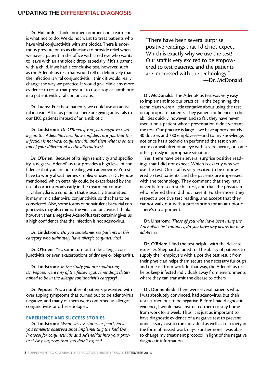Dr. Holland: I think another comment on treatment is what not to do. We do not want to treat patients who have viral conjunctivitis with antibiotics. There is enormous pressure on us as clinicians to provide relief when we have a patient in the office with a red eye who wants to leave with an antibiotic drop, especially if it's a parent with a child. If we had a conclusive test, however, such as the AdenoPlus test that would tell us definitively that the infection is viral conjunctivitis, I think it would really change the way we practice. It would give clinicians more evidence to resist that pressure to use a topical antibiotic in a patient with viral conjunctivitis.

Dr. Luchs: For these patients, we could use an antiviral instead. All of us panelists here are giving antivirals to our EKC patients instead of an antibiotic.

Dr. Lindstrom: *Dr. O'Brien, if you get a negative reading on the AdenoPlus test, how confident are you that the infection is not viral conjunctivitis, and then what is on the top of your differential as the alternatives?*

Dr. O'Brien: Because of its high sensitivity and specificity, a negative AdenoPlus test provides a high level of confidence that you are not dealing with adenovirus. You still have to worry about herpes simplex viruses, as Dr. Pepose mentioned, which certainly could be exacerbated by the use of corticosteroids early in the treatment course.

Chlamydia is a condition that is sexually transmitted; it may mimic adenoviral conjunctivitis, so that has to be considered. Also, some forms of nonvirulent bacterial conjunctivitis may also mimic the viral conjunctivitis. I think, however, that a negative AdenoPlus test certainly gives us a high confidence that the infection is not adenovirus.

Dr. Lindstrom: *Do you sometimes see patients in this category who ultimately have allergic conjunctivitis?*

Dr. O'Brien: Yes, some turn out to be allergic conjunctivitis, or even exacerbations of dry eye or blepharitis.

Dr. Lindstrom: *In the study you are conducting, Dr. Pepose, were any of the false-negative readings determined to be in the allergic conjunctivitis category?* 

Dr. Pepose: Yes, a number of patients presented with overlapping symptoms that turned out to be adenovirus negative, and many of them were confirmed as allergic conjunctivitis or other etiologies.

#### EXPERIENCE AND SUCCESS STORIES

Dr. Lindstrom: *What success stories or pearls have you panelists observed since implementing the Red Eye Protocol for conjunctivitis and AdenoPlus into your practice? Any surprises that you didn't expect?* 

"There have been several surprise positive readings that I did not expect. Which is exactly why we use the test! Our staff is very excited to be empowered to test patients, and the patients are impressed with the technology." —Dr. McDonald

Dr. McDonald: The AdenoPlus test was very easy to implement into our practice. In the beginning, the technicians were a little tentative about using the test on appropriate patients. They gained confidence in their abilities quickly, however, and so far, they have never used it on a patient whose presentation didn't warrant the test. Our practice is large—we have approximately 30 doctors and 380 employees—and to my knowledge, not once has a technician performed the test on an acute corneal ulcer or an eye with severe uveitis, or some other grossly inappropriate situation.

Yes, there have been several surprise positive readings that I did not expect. Which is exactly why we use the test! Our staff is very excited to be empowered to test patients, and the patients are impressed with the technology. They comment that they have never before seen such a test, and that the physician who referred them did not have it. Furthermore, they respect a positive test reading, and accept that they cannot walk out with a prescription for an antibiotic. There's no argument.

Dr. Linstrom: *Those of you who have been using the AdenoPlus test routinely, do you have any pearls for new adopters?*

Dr. O'Brien: I find the test helpful with the delicate issues Dr. Sheppard alluded to. The ability of patients to supply their employers with a positive test result from their physician helps them secure the necessary furlough and time off from work. In that way, the AdenoPlus test helps keep infected individuals away from environments where they can transmit the disease to others.

Dr. Donnenfeld: There were several patients who, I was absolutely convinced, had adenovirus, but their tests turned out to be negative. Before I had diagnostic evidence, I would have instructed them to stay home from work for a week. Thus, it is just as important to have diagnostic evidence of a negative test to prevent unnecessary cost to the individual as well as to society in the form of missed work days. Furthermore, I was able to change my treatment protocol in light of the negative diagnostic information.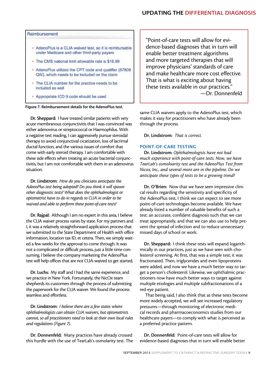# UPDATING THE DIFFERENTIAL DIAGNOSIS

#### Reimbursement

- AdenoPlus is a CLIA waived test, so it is reimbursable under Medicare and other third-party payers
- · The CMS national limit allowable rate is \$16.99
- AdenoPlus utilizes the CPT code and qualifier (87809 QW), which needs to be included on the claim
- The CLIA number for the practice needs to be included as well
- Appropriate ICD 9 code should be used

Figure 7. Reimbursement details for the AdenoPlus test.

Dr. Sheppard: I have treated similar patients with very acute membranous conjunctivitis that I was convinced was either adenovirus or streptococcal or Haemophilus. With a negative test reading, I can aggressively pursue steroidal therapy to avoid conjunctival cicatization, loss of lacrimal ductal function, and the various issues of comfort that come with early steroid therapy. I am comfortable with these side effects when treating an acute bacterial conjunctivitis, but I am not comfortable with them in an adenovirus situation.

Dr. Lindstrom: *How do you clinicians anticipate the AdenoPlus test being adopted? Do you think it will spawn other diagnostic tests? What does the ophthalmologist or optometrist have to do in regards to CLIA in order to be waived and able to perform these point-of-care tests?* 

Dr. Rajpal: Although I am no expert in this area, I believe the CLIA waiver process varies by state. For my partners and I, it was a relatively straightforward application process that we submitted to the State Department of Health with office information, location tax ID, et cetera. Then, we simply waited a few weeks for the approval to come through. It was not a complicated or difficult process, just a little time consuming. I believe the company marketing the AdenoPlus test will help offices that are not CLIA-waived to get started,

Dr. Luchs: My staff and I had the same experience, and we practice in New York. Fortunately, the NicOx team shepherds its customers through the process of submitting the paperwork for the CLIA waiver. We found the process seamless and effortless.

Dr. Lindstrom: *I believe there are a few states where ophthalmologists can obtain CLIA waivers, but optometrists cannot, so all practitioners need to look at their own local rules and regulations (Figure 7).*

Dr. Donnenfeld: Many practices have already crossed this hurdle with the use of TearLab's osmolarity test. The "Point-of-care tests will allow for evidence-based diagnoses that in turn will enable better treatment algorithms and more targeted therapies that will improve physicians' standards of care and make healthcare more cost effective. That is what is exciting about having these tests available in our practices." —Dr. Donnenfeld

same CLIA waivers apply to the AdenoPlus test, which makes it easy for practitioners who have already been through the process.

Dr. Lindstrom: *That is correct.* 

#### POINT-OF-CARE TESTING

Dr. Lindstrom: *Ophthalmologists have not had much experience with point-of-care tests. Now, we have TearLab's osmoloarity test and the AdenoPlus Test from Nicox, Inc., and several more are in the pipeline. Do we anticipate these types of tests to be a growing trend?*

Dr. O'Brien: Now that we have seen impressive clinical results regarding the sensitivity and specificity of the AdenoPlus test, I think we can expect to see more point-of-care technologies become available. We have already listed a number of valuable benefits of such a test: an accurate, confident diagnosis such that we can treat appropriately, and that we can also use to help prevent the spread of infection and to reduce unnecessary missed days of school or work.

Dr. Sheppard: I think these tests will expand logarithmically in our practices, just as we have seen with cholesterol screening. At first, that was a simple test; it was fractionated. Then, triglycerides and even lipoproteins were added, and now we have a much better way to target a person's cholesterol. Likewise, we ophthalmic practitioners now have much better ways to target against multiple etiologies and multiple subfractionations of a red-eye patient.

 That being said, I also think that as these tests become more widely accepted, we will see increased regulatory pressures—through monitoring of electronic medical records and pharmacoeconomics studies from our healthcare payers—to comply with what is perceived as a preferred practice pattern.

Dr. Donnenfeld: Point-of-care tests will allow for evidence-based diagnoses that in turn will enable better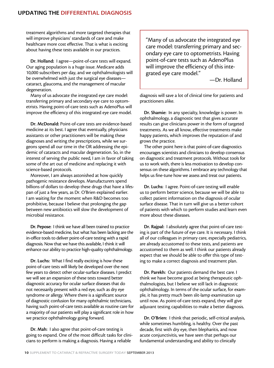treatment algorithms and more targeted therapies that will improve physicians' standards of care and make healthcare more cost effective. That is what is exciting about having these tests available in our practices.

Dr. Holland: I agree—point-of-care tests will expand. Our aging population is a huge issue. Medicare adds 10,000 subscribers per day, and we ophthalmologists will be overwhelmed with just the surgical eye diseases cataract, glaucoma, and the management of macular degeneration.

Many of us advocate the integrated eye care model: transferring primary and secondary eye care to optometrists. Having point-of-care tests such as AdenoPlus will improve the efficiency of this integrated eye care model.

Dr. McDonald: Point-of-care tests are evidence-based medicine at its best. I agree that eventually, physicians assistants or other practitioners will be making these diagnoses and writing the prescriptions, while we surgeons spend all our time in the OR addressing the epidemic of cataracts and macular degeneration. So, in the interest of serving the public need, I am in favor of taking some of the art out of medicine and replacing it with science-based protocols.

Moreover, I am always astonished at how quickly pathogenic resistance develops. Manufacturers spend billions of dollars to develop these drugs that have a lifespan of just a few years, as Dr. O'Brien explained earlier. I am waiting for the moment when R&D becomes too prohibitive, because I believe that prolonging the gap between new antibiotics will slow the development of microbial resistance.

Dr. Pepose: I think we have all been trained to practice evidence-based medicine, but what has been lacking are the in-office tools to deliver point-of-care testing with a rapid diagnosis. Now that we have this available, I think it will enhance our ability to practice high-quality ophthalmology.

Dr. Luchs: What I find really exciting is how these point-of-care tests will likely be developed over the next few years to detect other ocular-surface diseases. I predict we will see an expansion of these tests toward better diagnostic accuracy for ocular surface diseases that do not necessarily present with a red eye, such as dry eye syndrome or allergy. Where there is a significant source of diagnostic confusion for many ophthalmic technicians, having such point-of-care tests available as routine care for a majority of our patients will play a significant role in how we practice ophthalmology going forward.

Dr. Mah: I also agree that point-of-care testing is going to expand. One of the most difficult tasks for clinicians to perform is making a diagnosis. Having a reliable

"Many of us advocate the integrated eye care model: transferring primary and secondary eye care to optometrists. Having point-of-care tests such as AdenoPlus will improve the efficiency of this integrated eye care model."

—Dr. Holland

diagnosis will save a lot of clinical time for patients and practitioners alike.

Dr. Shamie: In any specialty, knowledge is power. In ophthalmology, a diagnostic test that gives accurate results can give clinicians power in the form of targeted treatments. As we all know, effective treatments make happy patients, which improves the reputation of and grows the practice.

The other point here is that point-of-care diagnostics encourages scientists and clinicians to develop consensus on diagnostic and treatment protocols. Without tools for us to work with, there is less motivation to develop consensus on these algorithms. I embrace any technology that helps us fine-tune how we assess and treat our patients.

Dr. Luchs: I agree. Point-of-care testing will enable us to perform better science, because we will be able to collect patient information on the diagnosis of ocular surface disease. That in turn will give us a better cohort of patients with which to perform studies and learn even more about these diseases.

Dr. Rajpal: I absolutely agree that point-of-care testing is part of the future of eye care. It is necessary. I think all of our colleagues in primary care, especially pediatrics, are already accustomed to these tests, and patients are accustomed to them as well. I think our patients already expect that we should be able to offer this type of testing to make a correct diagnosis and treatment plan.

Dr. Parekh: Our patients demand the best care. I think we have become good at being therapeutic ophthalmologists, but I believe we still lack in diagnostic ophthalmology. In terms of the ocular surface, for example, it has pretty much been slit-lamp examination up until now. As point-of-care tests expand, they will give adjuvant testing capabilities to make a better diagnosis.

Dr. O'Brien: I think that periodic, self-critical analysis, while sometimes humbling, is healthy. Over the past decade, first with dry eye, then blepharitis, and now acute conjunctivitis, we have seen that perhaps our fundamental understanding and ability to clinically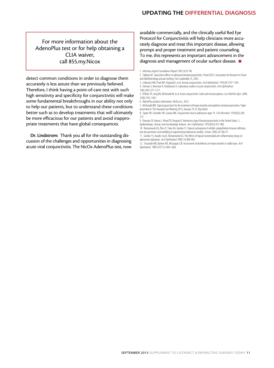# For more information about the AdenoPlus test or for help obtaining a CLIA waiver, call 855.my.Nicox

detect common conditions in order to diagnose them accurately is less astute than we previously believed. Therefore, I think having a point-of-care test with such high sensitivity and specificity for conjunctivitis will make some fundamental breakthroughs in our ability not only to help our patients, but to understand these conditions better such as to develop treatments that will ultimately be more efficacious for our patients and avoid inappropriate treatments that have global consequences.

Dr. Lindstrom: Thank you all for the outstanding discussion of the challenges and opportunities in diagnosing acute viral conjunctivitis. The NicOx AdenoPlus test, now available commercially, and the clinically useful Red Eye Protocol for Conjunctivitis will help clinicians more accurately diagnose and treat this important disease, allowing prompt and proper treatment and patient counseling. To me, this represents an important advancement in the diagnosis and management of ocular surface disease.  $\blacksquare$ 

8. Taylor JW, Chandler JW, Cooney MK. Conjunctivitis due to adenovirus type 19. *J Clin Microbiol.* 1978;8(2):209- 213.

10. Romanowski EG, Pless P, Yates KA, Gordon YJ. Topical cyclosporine A inhibits subepithelial immune infiltrates but also promotes viral shedding in experimental adenovirus models. *Cornea*. 2005;24:1:86-91.

11. Gordon YJ, Araullo-CruzT, Romanowski EG. The effects of topical nonsteroidal anti-inflammatory drugs on adenoviral replication. *Arch Ophthalmol.*1998;116:900-905.

12. Trousdale MD, Barlow WE, McGuigan LJB. Assessment of diclofenac on herpes keratitis in rabbit eyes. *Arch Ophthalmol*. 1989;107(11):1664-1666.

<sup>1.</sup> Infectious Agents Surveillance Report 1995;16:97-98

<sup>2.</sup> Tabbara KF. Ganciclovir effects in adenoviral keratoconjunctivitis. Poster B253. Association for Research in Vision and Ophthalmology annual meeting. Fort Lauderdale, FL; 2001.

<sup>3.</sup> Leibowitz HM, Pratt MV, Flagstad IJ, et al. Human conjunctivitis. *Arch Ophthalmol.* 1976;94:1747-1749. 4. Stenson S, Newman R, Fedukowicz H. Laboratory studies in acute conjunctivitis. *Arch Ophthalmol*.

<sup>1982;100:1275-1277.</sup>

<sup>5.</sup> O'Brien TP, Jeng BH, McDonald M, et al. Acute conjunctivitis: truth and misconceptions. *Curr Med Res Opin*. 2009; 25(8):1953-1961.

<sup>6.</sup> AdenoPlus product information. NicOx, Inc.; 2012.

<sup>7.</sup> McDonald MB. Topical ganciclovir for the treatment of herpes keratitis and epidemic keratoconjunctivitis. Paper presented at: The Hawaiian Eye Meeting 2013; January 19-25; Big Island.

<sup>9.</sup> Dawson CR, Hanna L, Wood TR, Despain R. Adenovirus type 8 keratoconjunctivitis in the United States. 3. Epidemiologic, clinical, and microbiologic features. *Am J Ophthalmol.* 1970;69(3):473-480.